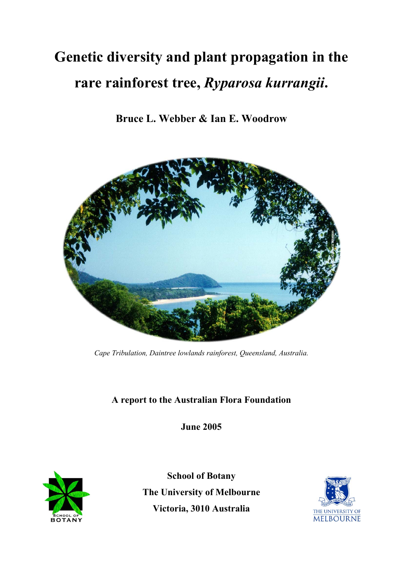# **Genetic diversity and plant propagation in the rare rainforest tree,** *Ryparosa kurrangii***.**

**Bruce L. Webber & Ian E. Woodrow** 



*Cape Tribulation, Daintree lowlands rainforest, Queensland, Australia.* 

# **A report to the Australian Flora Foundation**

**June 2005** 



**School of Botany The University of Melbourne Victoria, 3010 Australia** 

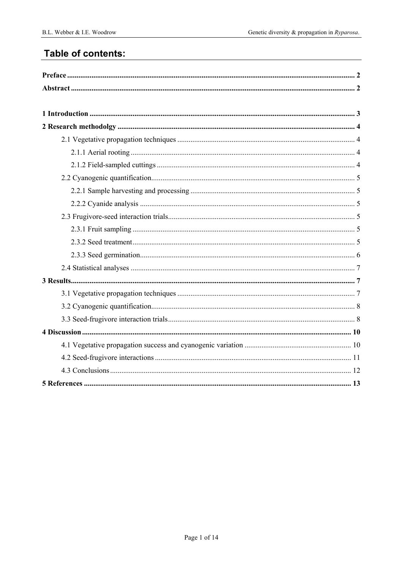# Table of contents: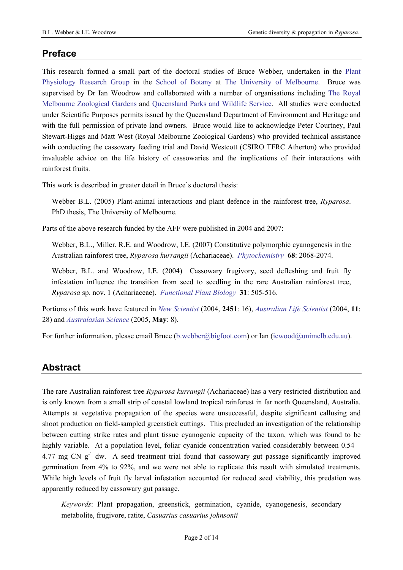# **Preface**

This research formed a small part of the doctoral studies of Bruce Webber, undertaken in the [Plant](http://www.botany.unimelb.edu.au/physiology)  [Physiology Research Group](http://www.botany.unimelb.edu.au/physiology) in the [School of Botany](http://www.botany.unimelb.edu.au/) at [The University of Melbourne.](http://www.unimelb.edu.au/) Bruce was supervised by Dr Ian Woodrow and collaborated with a number of organisations including [The Royal](http://www.zoo.org.au/melbourne/)  [Melbourne Zoological Gardens](http://www.zoo.org.au/melbourne/) and [Queensland Parks and Wildlife Service](http://www.epa.qld.gov.au/parks_and_forests/). All studies were conducted under Scientific Purposes permits issued by the Queensland Department of Environment and Heritage and with the full permission of private land owners. Bruce would like to acknowledge Peter Courtney, Paul Stewart-Higgs and Matt West (Royal Melbourne Zoological Gardens) who provided technical assistance with conducting the cassowary feeding trial and David Westcott (CSIRO TFRC Atherton) who provided invaluable advice on the life history of cassowaries and the implications of their interactions with rainforest fruits.

This work is described in greater detail in Bruce's doctoral thesis:

Webber B.L. (2005) Plant-animal interactions and plant defence in the rainforest tree, *Ryparosa*. PhD thesis, The University of Melbourne.

Parts of the above research funded by the AFF were published in 2004 and 2007:

Webber, B.L., Miller, R.E. and Woodrow, I.E. (2007) Constitutive polymorphic cyanogenesis in the Australian rainforest tree, *Ryparosa kurrangii* (Achariaceae). *[Phytochemistry](http://dx.doi.org/10.1016/j.phytochem.2007.04.038)* **68**: 2068-2074.

Webber, B.L. and Woodrow, I.E. (2004) Cassowary frugivory, seed defleshing and fruit fly infestation influence the transition from seed to seedling in the rare Australian rainforest tree, *Ryparosa* sp. nov. 1 (Achariaceae). *[Functional Plant Biology](http://dx.doi.org/10.1071/FP03214)* **31**: 505-516.

Portions of this work have featured in *[New Scientist](http://www.newscientist.com/channel/life/endangered-species/mg18224512.200)* (2004, **2451**: 16), *[Australian Life Scientist](http://www.biotechnews.com.au/index.php)* (2004, **11**: 28) and *[Australasian Science](http://www.control.com.au/bi2005/bi264.shtml)* (2005, **May**: 8).

For further information, please email Bruce ([b.webber@bigfoot.com\)](mailto:b.webber@bigfoot.com) or Ian ([iewood@unimelb.edu.au\)](mailto:iewood@unimelb.edu.au).

# **Abstract**

The rare Australian rainforest tree *Ryparosa kurrangii* (Achariaceae) has a very restricted distribution and is only known from a small strip of coastal lowland tropical rainforest in far north Queensland, Australia. Attempts at vegetative propagation of the species were unsuccessful, despite significant callusing and shoot production on field-sampled greenstick cuttings. This precluded an investigation of the relationship between cutting strike rates and plant tissue cyanogenic capacity of the taxon, which was found to be highly variable. At a population level, foliar cyanide concentration varied considerably between 0.54 – 4.77 mg CN g<sup>-1</sup> dw. A seed treatment trial found that cassowary gut passage significantly improved germination from 4% to 92%, and we were not able to replicate this result with simulated treatments. While high levels of fruit fly larval infestation accounted for reduced seed viability, this predation was apparently reduced by cassowary gut passage.

*Keywords*: Plant propagation, greenstick, germination, cyanide, cyanogenesis, secondary metabolite, frugivore, ratite, *Casuarius casuarius johnsonii*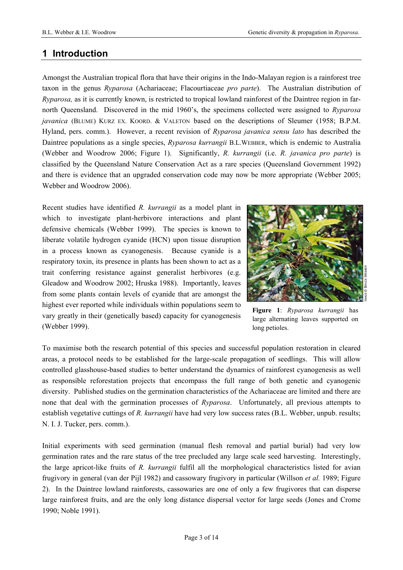# <span id="page-3-0"></span>**1 Introduction**

Amongst the Australian tropical flora that have their origins in the Indo-Malayan region is a rainforest tree taxon in the genus *Ryparosa* (Achariaceae; Flacourtiaceae *pro parte*). The Australian distribution of *Ryparosa,* as it is currently known, is restricted to tropical lowland rainforest of the Daintree region in farnorth Queensland. Discovered in the mid 1960's, the specimens collected were assigned to *Ryparosa javanica* (BLUME) KURZ EX. KOORD. & VALETON based on the descriptions of Sleumer (1958; B.P.M. Hyland, pers. comm.). However, a recent revision of *Ryparosa javanica sensu lato* has described the Daintree populations as a single species, *Ryparosa kurrangii* B.L.WEBBER, which is endemic to Australia (Webber and Woodrow 2006; Figure 1). Significantly, *R. kurrangii* (i.e. *R. javanica pro parte*) is classified by the Queensland Nature Conservation Act as a rare species (Queensland Government 1992) and there is evidence that an upgraded conservation code may now be more appropriate (Webber 2005; Webber and Woodrow 2006).

Recent studies have identified *R. kurrangii* as a model plant in which to investigate plant-herbivore interactions and plant defensive chemicals (Webber 1999). The species is known to liberate volatile hydrogen cyanide (HCN) upon tissue disruption in a process known as cyanogenesis. Because cyanide is a respiratory toxin, its presence in plants has been shown to act as a trait conferring resistance against generalist herbivores (e.g. Gleadow and Woodrow 2002; Hruska 1988). Importantly, leaves from some plants contain levels of cyanide that are amongst the highest ever reported while individuals within populations seem to vary greatly in their (genetically based) capacity for cyanogenesis (Webber 1999).



**Figure 1**: *Ryparosa kurrangii* has large alternating leaves supported on long petioles.

To maximise both the research potential of this species and successful population restoration in cleared areas, a protocol needs to be established for the large-scale propagation of seedlings. This will allow controlled glasshouse-based studies to better understand the dynamics of rainforest cyanogenesis as well as responsible reforestation projects that encompass the full range of both genetic and cyanogenic diversity. Published studies on the germination characteristics of the Achariaceae are limited and there are none that deal with the germination processes of *Ryparosa*. Unfortunately, all previous attempts to establish vegetative cuttings of *R. kurrangii* have had very low success rates (B.L. Webber, unpub. results; N. I. J. Tucker, pers. comm.).

Initial experiments with seed germination (manual flesh removal and partial burial) had very low germination rates and the rare status of the tree precluded any large scale seed harvesting. Interestingly, the large apricot-like fruits of *R. kurrangii* fulfil all the morphological characteristics listed for avian frugivory in general (van der Pijl 1982) and cassowary frugivory in particular (Willson *et al.* 1989; Figure 2). In the Daintree lowland rainforests, cassowaries are one of only a few frugivores that can disperse large rainforest fruits, and are the only long distance dispersal vector for large seeds (Jones and Crome 1990; Noble 1991).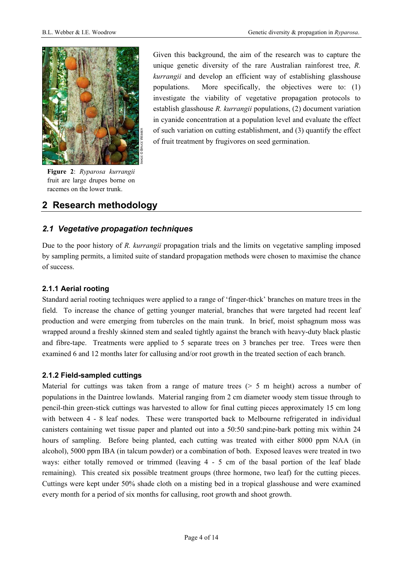<span id="page-4-0"></span>

**Figure 2**: *Ryparosa kurrangii* fruit are large drupes borne on racemes on the lower trunk.

Given this background, the aim of the research was to capture the unique genetic diversity of the rare Australian rainforest tree, *R. kurrangii* and develop an efficient way of establishing glasshouse populations. More specifically, the objectives were to: (1) investigate the viability of vegetative propagation protocols to establish glasshouse *R. kurrangii* populations, (2) document variation in cyanide concentration at a population level and evaluate the effect of such variation on cutting establishment, and (3) quantify the effect of fruit treatment by frugivores on seed germination.

# **2 Research methodology**

## *2.1 Vegetative propagation techniques*

Due to the poor history of *R. kurrangii* propagation trials and the limits on vegetative sampling imposed by sampling permits, a limited suite of standard propagation methods were chosen to maximise the chance of success.

#### **2.1.1 Aerial rooting**

Standard aerial rooting techniques were applied to a range of 'finger-thick' branches on mature trees in the field. To increase the chance of getting younger material, branches that were targeted had recent leaf production and were emerging from tubercles on the main trunk. In brief, moist sphagnum moss was wrapped around a freshly skinned stem and sealed tightly against the branch with heavy-duty black plastic and fibre-tape. Treatments were applied to 5 separate trees on 3 branches per tree. Trees were then examined 6 and 12 months later for callusing and/or root growth in the treated section of each branch.

#### <span id="page-4-1"></span>**2.1.2 Field-sampled cuttings**

Material for cuttings was taken from a range of mature trees  $($  > 5 m height) across a number of populations in the Daintree lowlands. Material ranging from 2 cm diameter woody stem tissue through to pencil-thin green-stick cuttings was harvested to allow for final cutting pieces approximately 15 cm long with between 4 - 8 leaf nodes. These were transported back to Melbourne refrigerated in individual canisters containing wet tissue paper and planted out into a 50:50 sand:pine-bark potting mix within 24 hours of sampling. Before being planted, each cutting was treated with either 8000 ppm NAA (in alcohol), 5000 ppm IBA (in talcum powder) or a combination of both. Exposed leaves were treated in two ways: either totally removed or trimmed (leaving 4 - 5 cm of the basal portion of the leaf blade remaining). This created six possible treatment groups (three hormone, two leaf) for the cutting pieces. Cuttings were kept under 50% shade cloth on a misting bed in a tropical glasshouse and were examined every month for a period of six months for callusing, root growth and shoot growth.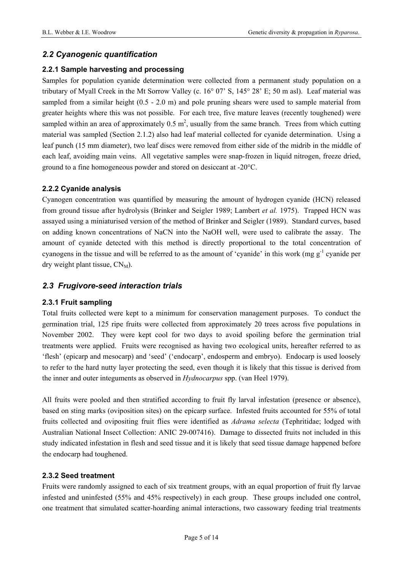## <span id="page-5-0"></span>*2.2 Cyanogenic quantification*

#### **2.2.1 Sample harvesting and processing**

Samples for population cyanide determination were collected from a permanent study population on a tributary of Myall Creek in the Mt Sorrow Valley (c. 16° 07' S, 145° 28' E; 50 m asl). Leaf material was sampled from a similar height (0.5 - 2.0 m) and pole pruning shears were used to sample material from greater heights where this was not possible. For each tree, five mature leaves (recently toughened) were sampled within an area of approximately  $0.5 \text{ m}^2$ , usually from the same branch. Trees from which cutting material was sampled (Section [2.1.2](#page-4-1)) also had leaf material collected for cyanide determination. Using a leaf punch (15 mm diameter), two leaf discs were removed from either side of the midrib in the middle of each leaf, avoiding main veins. All vegetative samples were snap-frozen in liquid nitrogen, freeze dried, ground to a fine homogeneous powder and stored on desiccant at -20°C.

#### **2.2.2 Cyanide analysis**

Cyanogen concentration was quantified by measuring the amount of hydrogen cyanide (HCN) released from ground tissue after hydrolysis (Brinker and Seigler 1989; Lambert *et al.* 1975). Trapped HCN was assayed using a miniaturised version of the method of Brinker and Seigler (1989). Standard curves, based on adding known concentrations of NaCN into the NaOH well, were used to calibrate the assay. The amount of cyanide detected with this method is directly proportional to the total concentration of cyanogens in the tissue and will be referred to as the amount of 'cyanide' in this work (mg  $g^{-1}$  cyanide per dry weight plant tissue,  $CN_M$ ).

## *2.3 Frugivore-seed interaction trials*

#### **2.3.1 Fruit sampling**

Total fruits collected were kept to a minimum for conservation management purposes. To conduct the germination trial, 125 ripe fruits were collected from approximately 20 trees across five populations in November 2002. They were kept cool for two days to avoid spoiling before the germination trial treatments were applied. Fruits were recognised as having two ecological units, hereafter referred to as 'flesh' (epicarp and mesocarp) and 'seed' ('endocarp', endosperm and embryo). Endocarp is used loosely to refer to the hard nutty layer protecting the seed, even though it is likely that this tissue is derived from the inner and outer integuments as observed in *Hydnocarpus* spp. (van Heel 1979).

All fruits were pooled and then stratified according to fruit fly larval infestation (presence or absence), based on sting marks (oviposition sites) on the epicarp surface. Infested fruits accounted for 55% of total fruits collected and ovipositing fruit flies were identified as *Adrama selecta* (Tephritidae; lodged with Australian National Insect Collection: ANIC 29-007416). Damage to dissected fruits not included in this study indicated infestation in flesh and seed tissue and it is likely that seed tissue damage happened before the endocarp had toughened.

#### **2.3.2 Seed treatment**

Fruits were randomly assigned to each of six treatment groups, with an equal proportion of fruit fly larvae infested and uninfested (55% and 45% respectively) in each group. These groups included one control, one treatment that simulated scatter-hoarding animal interactions, two cassowary feeding trial treatments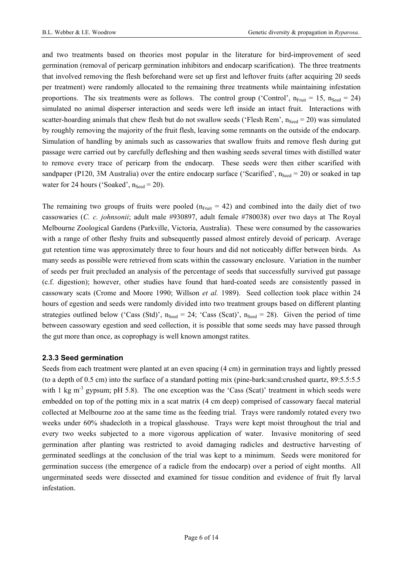<span id="page-6-0"></span>and two treatments based on theories most popular in the literature for bird-improvement of seed germination (removal of pericarp germination inhibitors and endocarp scarification). The three treatments that involved removing the flesh beforehand were set up first and leftover fruits (after acquiring 20 seeds per treatment) were randomly allocated to the remaining three treatments while maintaining infestation proportions. The six treatments were as follows. The control group ('Control',  $n_{Fruit} = 15$ ,  $n_{Seed} = 24$ ) simulated no animal disperser interaction and seeds were left inside an intact fruit. Interactions with scatter-hoarding animals that chew flesh but do not swallow seeds ('Flesh Rem',  $n_{\text{seed}} = 20$ ) was simulated by roughly removing the majority of the fruit flesh, leaving some remnants on the outside of the endocarp. Simulation of handling by animals such as cassowaries that swallow fruits and remove flesh during gut passage were carried out by carefully defleshing and then washing seeds several times with distilled water to remove every trace of pericarp from the endocarp. These seeds were then either scarified with sandpaper (P120, 3M Australia) over the entire endocarp surface ('Scarified',  $n_{\text{seed}} = 20$ ) or soaked in tap water for 24 hours ('Soaked',  $n_{\text{Seed}} = 20$ ).

The remaining two groups of fruits were pooled ( $n_{Fruit} = 42$ ) and combined into the daily diet of two cassowaries (*C. c. johnsonii*; adult male #930897, adult female #780038) over two days at The Royal Melbourne Zoological Gardens (Parkville, Victoria, Australia). These were consumed by the cassowaries with a range of other fleshy fruits and subsequently passed almost entirely devoid of pericarp. Average gut retention time was approximately three to four hours and did not noticeably differ between birds. As many seeds as possible were retrieved from scats within the cassowary enclosure. Variation in the number of seeds per fruit precluded an analysis of the percentage of seeds that successfully survived gut passage (c.f. digestion); however, other studies have found that hard-coated seeds are consistently passed in cassowary scats (Crome and Moore 1990; Willson *et al.* 1989). Seed collection took place within 24 hours of egestion and seeds were randomly divided into two treatment groups based on different planting strategies outlined below ('Cass (Std)',  $n_{\text{Seed}} = 24$ ; 'Cass (Scat)',  $n_{\text{Seed}} = 28$ ). Given the period of time between cassowary egestion and seed collection, it is possible that some seeds may have passed through the gut more than once, as coprophagy is well known amongst ratites.

#### **2.3.3 Seed germination**

Seeds from each treatment were planted at an even spacing (4 cm) in germination trays and lightly pressed (to a depth of 0.5 cm) into the surface of a standard potting mix (pine-bark:sand:crushed quartz, 89:5.5:5.5 with 1 kg  $m<sup>3</sup>$  gypsum; pH 5.8). The one exception was the 'Cass (Scat)' treatment in which seeds were embedded on top of the potting mix in a scat matrix (4 cm deep) comprised of cassowary faecal material collected at Melbourne zoo at the same time as the feeding trial. Trays were randomly rotated every two weeks under 60% shadecloth in a tropical glasshouse. Trays were kept moist throughout the trial and every two weeks subjected to a more vigorous application of water. Invasive monitoring of seed germination after planting was restricted to avoid damaging radicles and destructive harvesting of germinated seedlings at the conclusion of the trial was kept to a minimum. Seeds were monitored for germination success (the emergence of a radicle from the endocarp) over a period of eight months. All ungerminated seeds were dissected and examined for tissue condition and evidence of fruit fly larval infestation.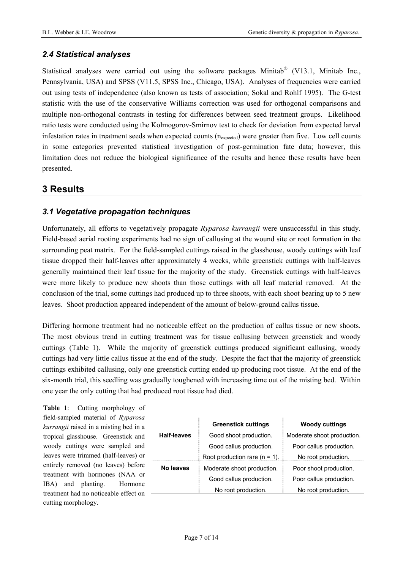## <span id="page-7-0"></span>*2.4 Statistical analyses*

Statistical analyses were carried out using the software packages Minitab<sup>®</sup> (V13.1, Minitab Inc., Pennsylvania, USA) and SPSS (V11.5, SPSS Inc., Chicago, USA). Analyses of frequencies were carried out using tests of independence (also known as tests of association; Sokal and Rohlf 1995). The G-test statistic with the use of the conservative Williams correction was used for orthogonal comparisons and multiple non-orthogonal contrasts in testing for differences between seed treatment groups. Likelihood ratio tests were conducted using the Kolmogorov-Smirnov test to check for deviation from expected larval infestation rates in treatment seeds when expected counts  $(n_{expected})$  were greater than five. Low cell counts in some categories prevented statistical investigation of post-germination fate data; however, this limitation does not reduce the biological significance of the results and hence these results have been presented.

# **3 Results**

## <span id="page-7-1"></span>*3.1 Vegetative propagation techniques*

Unfortunately, all efforts to vegetatively propagate *Ryparosa kurrangii* were unsuccessful in this study. Field-based aerial rooting experiments had no sign of callusing at the wound site or root formation in the surrounding peat matrix. For the field-sampled cuttings raised in the glasshouse, woody cuttings with leaf tissue dropped their half-leaves after approximately 4 weeks, while greenstick cuttings with half-leaves generally maintained their leaf tissue for the majority of the study. Greenstick cuttings with half-leaves were more likely to produce new shoots than those cuttings with all leaf material removed. At the conclusion of the trial, some cuttings had produced up to three shoots, with each shoot bearing up to 5 new leaves. Shoot production appeared independent of the amount of below-ground callus tissue.

Differing hormone treatment had no noticeable effect on the production of callus tissue or new shoots. The most obvious trend in cutting treatment was for tissue callusing between greenstick and woody cuttings (Table 1). While the majority of greenstick cuttings produced significant callusing, woody cuttings had very little callus tissue at the end of the study. Despite the fact that the majority of greenstick cuttings exhibited callusing, only one greenstick cutting ended up producing root tissue. At the end of the six-month trial, this seedling was gradually toughened with increasing time out of the misting bed. Within one year the only cutting that had produced root tissue had died.

**Table 1**: Cutting morphology of field-sampled material of *Ryparosa kurrangii* raised in a misting bed in a tropical glasshouse. Greenstick and woody cuttings were sampled and leaves were trimmed (half-leaves) or entirely removed (no leaves) before treatment with hormones (NAA or IBA) and planting. Hormone treatment had no noticeable effect on cutting morphology.

|                    | <b>Greenstick cuttings</b>       | <b>Woody cuttings</b>      |  |  |
|--------------------|----------------------------------|----------------------------|--|--|
| <b>Half-leaves</b> | Good shoot production.           | Moderate shoot production. |  |  |
|                    | Good callus production.          | Poor callus production.    |  |  |
|                    | Root production rare $(n = 1)$ . | No root production.        |  |  |
| No leaves          | Moderate shoot production.       | Poor shoot production.     |  |  |
|                    | Good callus production.          | Poor callus production.    |  |  |
|                    | No root production.              | No root production.        |  |  |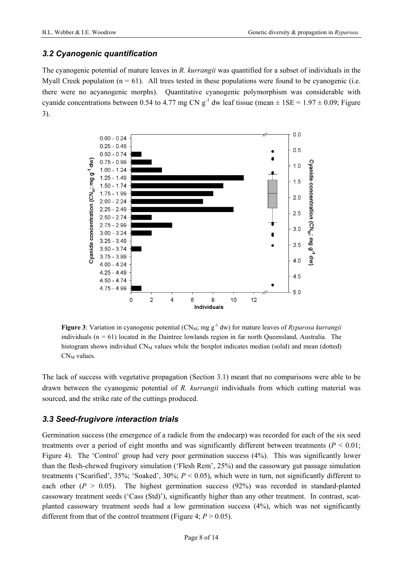## <span id="page-8-0"></span>*3.2 Cyanogenic quantification*

The cyanogenic potential of mature leaves in *R. kurrangii* was quantified for a subset of individuals in the Myall Creek population  $(n = 61)$ . All trees tested in these populations were found to be cyanogenic (i.e. there were no acyanogenic morphs). Quantitative cyanogenic polymorphism was considerable with cyanide concentrations between 0.54 to 4.77 mg CN  $g^{-1}$  dw leaf tissue (mean  $\pm$  1SE = 1.97  $\pm$  0.09; Figure 3).



**Figure 3**: Variation in cyanogenic potential (CN<sub>M</sub>; mg g<sup>-1</sup> dw) for mature leaves of *Ryparosa kurrangii* individuals  $(n = 61)$  located in the Daintree lowlands region in far north Queensland, Australia. The histogram shows individual  $CN<sub>M</sub>$  values while the boxplot indicates median (solid) and mean (dotted)  $CN_M$  values.

The lack of success with vegetative propagation (Section [3.1](#page-7-1)) meant that no comparisons were able to be drawn between the cyanogenic potential of *R. kurrangii* individuals from which cutting material was sourced, and the strike rate of the cuttings produced.

## *3.3 Seed-frugivore interaction trials*

Germination success (the emergence of a radicle from the endocarp) was recorded for each of the six seed treatments over a period of eight months and was significantly different between treatments ( $P < 0.01$ ; Figure 4). The 'Control' group had very poor germination success (4%). This was significantly lower than the flesh-chewed frugivory simulation ('Flesh Rem', 25%) and the cassowary gut passage simulation treatments ('Scarified', 35%; 'Soaked', 30%; *P* < 0.05), which were in turn, not significantly different to each other  $(P > 0.05)$ . The highest germination success (92%) was recorded in standard-planted cassowary treatment seeds ('Cass (Std)'), significantly higher than any other treatment. In contrast, scatplanted cassowary treatment seeds had a low germination success (4%), which was not significantly different from that of the control treatment (Figure 4;  $P > 0.05$ ).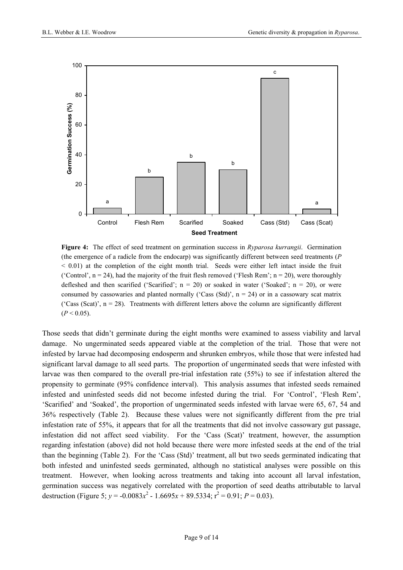

**Figure 4:** The effect of seed treatment on germination success in *Ryparosa kurrangii*. Germination (the emergence of a radicle from the endocarp) was significantly different between seed treatments (*P*  $<$  0.01) at the completion of the eight month trial. Seeds were either left intact inside the fruit ('Control',  $n = 24$ ), had the majority of the fruit flesh removed ('Flesh Rem';  $n = 20$ ), were thoroughly defleshed and then scarified ('Scarified';  $n = 20$ ) or soaked in water ('Soaked';  $n = 20$ ), or were consumed by cassowaries and planted normally ('Cass (Std)',  $n = 24$ ) or in a cassowary scat matrix ('Cass (Scat)',  $n = 28$ ). Treatments with different letters above the column are significantly different  $(P < 0.05)$ .

Those seeds that didn't germinate during the eight months were examined to assess viability and larval damage. No ungerminated seeds appeared viable at the completion of the trial. Those that were not infested by larvae had decomposing endosperm and shrunken embryos, while those that were infested had significant larval damage to all seed parts. The proportion of ungerminated seeds that were infested with larvae was then compared to the overall pre-trial infestation rate (55%) to see if infestation altered the propensity to germinate (95% confidence interval). This analysis assumes that infested seeds remained infested and uninfested seeds did not become infested during the trial. For 'Control', 'Flesh Rem', 'Scarified' and 'Soaked', the proportion of ungerminated seeds infested with larvae were 65, 67, 54 and 36% respectively (Table 2). Because these values were not significantly different from the pre trial infestation rate of 55%, it appears that for all the treatments that did not involve cassowary gut passage, infestation did not affect seed viability. For the 'Cass (Scat)' treatment, however, the assumption regarding infestation (above) did not hold because there were more infested seeds at the end of the trial than the beginning (Table 2). For the 'Cass (Std)' treatment, all but two seeds germinated indicating that both infested and uninfested seeds germinated, although no statistical analyses were possible on this treatment. However, when looking across treatments and taking into account all larval infestation, germination success was negatively correlated with the proportion of seed deaths attributable to larval destruction (Figure 5;  $y = -0.0083x^2 - 1.6695x + 89.5334$ ;  $r^2 = 0.91$ ;  $P = 0.03$ ).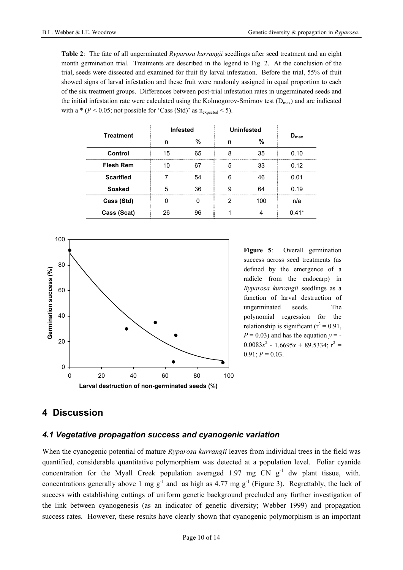<span id="page-10-0"></span>**Table 2**: The fate of all ungerminated *Ryparosa kurrangii* seedlings after seed treatment and an eight month germination trial. Treatments are described in the legend to Fig. 2. At the conclusion of the trial, seeds were dissected and examined for fruit fly larval infestation. Before the trial, 55% of fruit showed signs of larval infestation and these fruit were randomly assigned in equal proportion to each of the six treatment groups. Differences between post-trial infestation rates in ungerminated seeds and the initial infestation rate were calculated using the Kolmogorov-Smirnov test  $(D_{\text{max}})$  and are indicated with a  $*(P < 0.05$ ; not possible for 'Cass (Std)' as  $n_{expected} < 5$ ).

| <b>Treatment</b> | <b>Infested</b> |    | <b>Uninfested</b> |    |                  |
|------------------|-----------------|----|-------------------|----|------------------|
|                  | n               | %  | n                 | %  | $D_{\text{max}}$ |
| Control          | 15              | 65 | я                 | 35 | 0.10             |
| <b>Flesh Rem</b> |                 |    | 5                 | 33 | 0.12             |
| <b>Scarified</b> |                 | 54 |                   | 46 | በ በ1             |
| <b>Soaked</b>    |                 | 36 |                   |    | 0.19             |
| Cass (Std)       |                 |    |                   |    | n/a              |
| Cass (Scat)      | 26              | 96 |                   |    | $0.41*$          |



**Figure 5**: Overall germination success across seed treatments (as defined by the emergence of a radicle from the endocarp) in *Ryparosa kurrangii* seedlings as a function of larval destruction of ungerminated seeds. The polynomial regression for the relationship is significant ( $r^2$  = 0.91,  $P = 0.03$ ) and has the equation  $y = 0.0083x^2 - 1.6695x + 89.5334$ ; r<sup>2</sup> =  $0.91; P = 0.03.$ 

## **4 Discussion**

#### *4.1 Vegetative propagation success and cyanogenic variation*

When the cyanogenic potential of mature *Ryparosa kurrangii* leaves from individual trees in the field was quantified, considerable quantitative polymorphism was detected at a population level. Foliar cyanide concentration for the Myall Creek population averaged 1.97 mg CN  $g<sup>-1</sup>$  dw plant tissue, with. concentrations generally above 1 mg g<sup>-1</sup> and as high as 4.77 mg g<sup>-1</sup> (Figure 3). Regrettably, the lack of success with establishing cuttings of uniform genetic background precluded any further investigation of the link between cyanogenesis (as an indicator of genetic diversity; Webber 1999) and propagation success rates. However, these results have clearly shown that cyanogenic polymorphism is an important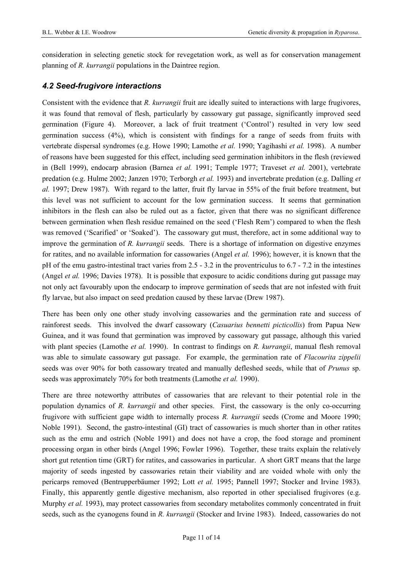<span id="page-11-0"></span>consideration in selecting genetic stock for revegetation work, as well as for conservation management planning of *R. kurrangii* populations in the Daintree region.

## *4.2 Seed-frugivore interactions*

Consistent with the evidence that *R. kurrangii* fruit are ideally suited to interactions with large frugivores, it was found that removal of flesh, particularly by cassowary gut passage, significantly improved seed germination (Figure 4). Moreover, a lack of fruit treatment ('Control') resulted in very low seed germination success  $(4\%)$ , which is consistent with findings for a range of seeds from fruits with vertebrate dispersal syndromes (e.g. Howe 1990; Lamothe *et al.* 1990; Yagihashi *et al.* 1998). A number of reasons have been suggested for this effect, including seed germination inhibitors in the flesh (reviewed in (Bell 1999), endocarp abrasion (Barnea *et al.* 1991; Temple 1977; Traveset *et al.* 2001), vertebrate predation (e.g. Hulme 2002; Janzen 1970; Terborgh *et al.* 1993) and invertebrate predation (e.g. Dalling *et al.* 1997; Drew 1987). With regard to the latter, fruit fly larvae in 55% of the fruit before treatment, but this level was not sufficient to account for the low germination success. It seems that germination inhibitors in the flesh can also be ruled out as a factor, given that there was no significant difference between germination when flesh residue remained on the seed ('Flesh Rem') compared to when the flesh was removed ('Scarified' or 'Soaked'). The cassowary gut must, therefore, act in some additional way to improve the germination of *R. kurrangii* seeds. There is a shortage of information on digestive enzymes for ratites, and no available information for cassowaries (Angel *et al.* 1996); however, it is known that the pH of the emu gastro-intestinal tract varies from 2.5 - 3.2 in the proventriculus to 6.7 - 7.2 in the intestines (Angel *et al.* 1996; Davies 1978). It is possible that exposure to acidic conditions during gut passage may not only act favourably upon the endocarp to improve germination of seeds that are not infested with fruit fly larvae, but also impact on seed predation caused by these larvae (Drew 1987).

There has been only one other study involving cassowaries and the germination rate and success of rainforest seeds. This involved the dwarf cassowary (*Casuarius bennetti picticollis*) from Papua New Guinea, and it was found that germination was improved by cassowary gut passage, although this varied with plant species (Lamothe *et al.* 1990). In contrast to findings on *R. kurrangii*, manual flesh removal was able to simulate cassowary gut passage. For example, the germination rate of *Flacourita zippelii* seeds was over 90% for both cassowary treated and manually defleshed seeds, while that of *Prunus* sp. seeds was approximately 70% for both treatments (Lamothe *et al.* 1990).

There are three noteworthy attributes of cassowaries that are relevant to their potential role in the population dynamics of *R. kurrangii* and other species. First, the cassowary is the only co-occurring frugivore with sufficient gape width to internally process *R. kurrangii* seeds (Crome and Moore 1990; Noble 1991). Second, the gastro-intestinal (GI) tract of cassowaries is much shorter than in other ratites such as the emu and ostrich (Noble 1991) and does not have a crop, the food storage and prominent processing organ in other birds (Angel 1996; Fowler 1996). Together, these traits explain the relatively short gut retention time (GRT) for ratites, and cassowaries in particular. A short GRT means that the large majority of seeds ingested by cassowaries retain their viability and are voided whole with only the pericarps removed (Bentrupperbäumer 1992; Lott *et al.* 1995; Pannell 1997; Stocker and Irvine 1983). Finally, this apparently gentle digestive mechanism, also reported in other specialised frugivores (e.g. Murphy *et al.* 1993), may protect cassowaries from secondary metabolites commonly concentrated in fruit seeds, such as the cyanogens found in *R. kurrangii* (Stocker and Irvine 1983). Indeed, cassowaries do not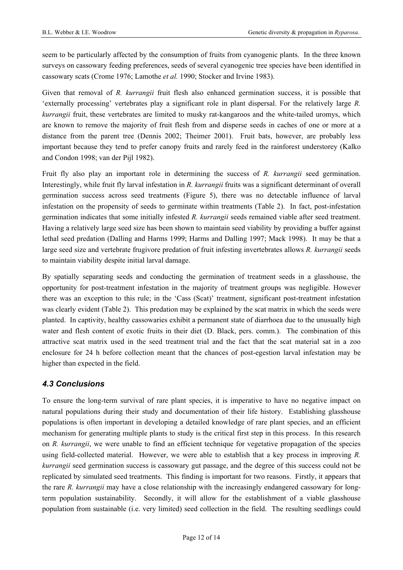<span id="page-12-0"></span>seem to be particularly affected by the consumption of fruits from cyanogenic plants. In the three known surveys on cassowary feeding preferences, seeds of several cyanogenic tree species have been identified in cassowary scats (Crome 1976; Lamothe *et al.* 1990; Stocker and Irvine 1983).

Given that removal of *R. kurrangii* fruit flesh also enhanced germination success, it is possible that 'externally processing' vertebrates play a significant role in plant dispersal. For the relatively large *R. kurrangii* fruit, these vertebrates are limited to musky rat-kangaroos and the white-tailed uromys, which are known to remove the majority of fruit flesh from and disperse seeds in caches of one or more at a distance from the parent tree (Dennis 2002; Theimer 2001). Fruit bats, however, are probably less important because they tend to prefer canopy fruits and rarely feed in the rainforest understorey (Kalko and Condon 1998; van der Pijl 1982).

Fruit fly also play an important role in determining the success of *R. kurrangii* seed germination. Interestingly, while fruit fly larval infestation in *R. kurrangii* fruits was a significant determinant of overall germination success across seed treatments (Figure 5), there was no detectable influence of larval infestation on the propensity of seeds to germinate within treatments (Table 2). In fact, post-infestation germination indicates that some initially infested *R. kurrangii* seeds remained viable after seed treatment. Having a relatively large seed size has been shown to maintain seed viability by providing a buffer against lethal seed predation (Dalling and Harms 1999; Harms and Dalling 1997; Mack 1998). It may be that a large seed size and vertebrate frugivore predation of fruit infesting invertebrates allows *R. kurrangii* seeds to maintain viability despite initial larval damage.

By spatially separating seeds and conducting the germination of treatment seeds in a glasshouse, the opportunity for post-treatment infestation in the majority of treatment groups was negligible. However there was an exception to this rule; in the 'Cass (Scat)' treatment, significant post-treatment infestation was clearly evident (Table 2). This predation may be explained by the scat matrix in which the seeds were planted. In captivity, healthy cassowaries exhibit a permanent state of diarrhoea due to the unusually high water and flesh content of exotic fruits in their diet (D. Black, pers. comm.). The combination of this attractive scat matrix used in the seed treatment trial and the fact that the scat material sat in a zoo enclosure for 24 h before collection meant that the chances of post-egestion larval infestation may be higher than expected in the field.

#### *4.3 Conclusions*

To ensure the long-term survival of rare plant species, it is imperative to have no negative impact on natural populations during their study and documentation of their life history. Establishing glasshouse populations is often important in developing a detailed knowledge of rare plant species, and an efficient mechanism for generating multiple plants to study is the critical first step in this process. In this research on *R. kurrangii*, we were unable to find an efficient technique for vegetative propagation of the species using field-collected material. However, we were able to establish that a key process in improving *R. kurrangii* seed germination success is cassowary gut passage, and the degree of this success could not be replicated by simulated seed treatments. This finding is important for two reasons. Firstly, it appears that the rare *R. kurrangii* may have a close relationship with the increasingly endangered cassowary for longterm population sustainability. Secondly, it will allow for the establishment of a viable glasshouse population from sustainable (i.e. very limited) seed collection in the field. The resulting seedlings could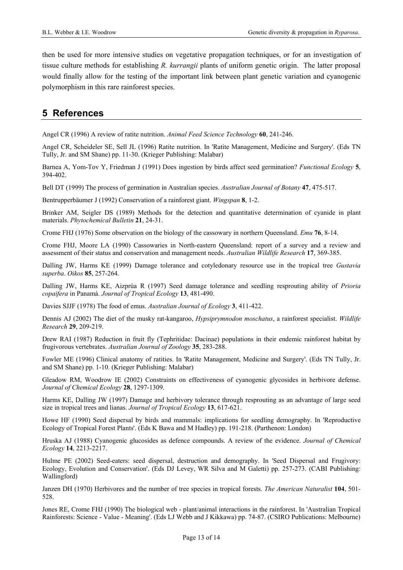<span id="page-13-0"></span>then be used for more intensive studies on vegetative propagation techniques, or for an investigation of tissue culture methods for establishing *R. kurrangii* plants of uniform genetic origin. The latter proposal would finally allow for the testing of the important link between plant genetic variation and cyanogenic polymorphism in this rare rainforest species.

# **5 References**

Angel CR (1996) A review of ratite nutrition. *Animal Feed Science Technology* **60**, 241-246.

Angel CR, Scheideler SE, Sell JL (1996) Ratite nutrition. In 'Ratite Management, Medicine and Surgery'. (Eds TN Tully, Jr. and SM Shane) pp. 11-30. (Krieger Publishing: Malabar)

Barnea A, Yom-Tov Y, Friedman J (1991) Does ingestion by birds affect seed germination? *Functional Ecology* **5**, 394-402.

Bell DT (1999) The process of germination in Australian species. *Australian Journal of Botany* **47**, 475-517.

Bentrupperbäumer J (1992) Conservation of a rainforest giant. *Wingspan* **8**, 1-2.

Brinker AM, Seigler DS (1989) Methods for the detection and quantitative determination of cyanide in plant materials. *Phytochemical Bulletin* **21**, 24-31.

Crome FHJ (1976) Some observation on the biology of the cassowary in northern Queensland. *Emu* **76**, 8-14.

Crome FHJ, Moore LA (1990) Cassowaries in North-eastern Queensland: report of a survey and a review and assessment of their status and conservation and management needs. *Australian Wildlife Research* **17**, 369-385.

Dalling JW, Harms KE (1999) Damage tolerance and cotyledonary resource use in the tropical tree *Gustavia superba*. *Oikos* **85**, 257-264.

Dalling JW, Harms KE, Aizprúa R (1997) Seed damage tolerance and seedling resprouting ability of *Prioria copaifera* in Panamá. *Journal of Tropical Ecology* **13**, 481-490.

Davies SJJF (1978) The food of emus. *Australian Journal of Ecology* **3**, 411-422.

Dennis AJ (2002) The diet of the musky rat-kangaroo, *Hypsiprymnodon moschatus*, a rainforest specialist. *Wildlife Research* **29**, 209-219.

Drew RAI (1987) Reduction in fruit fly (Tephritidae: Dacinae) populations in their endemic rainforest habitat by frugivorous vertebrates. *Australian Journal of Zoology* **35**, 283-288.

Fowler ME (1996) Clinical anatomy of ratities. In 'Ratite Management, Medicine and Surgery'. (Eds TN Tully, Jr. and SM Shane) pp. 1-10. (Krieger Publishing: Malabar)

Gleadow RM, Woodrow IE (2002) Constraints on effectiveness of cyanogenic glycosides in herbivore defense. *Journal of Chemical Ecology* **28**, 1297-1309.

Harms KE, Dalling JW (1997) Damage and herbivory tolerance through resprouting as an advantage of large seed size in tropical trees and lianas. *Journal of Tropical Ecology* **13**, 617-621.

Howe HF (1990) Seed dispersal by birds and mammals: implications for seedling demography. In 'Reproductive Ecology of Tropical Forest Plants'. (Eds K Bawa and M Hadley) pp. 191-218. (Parthenon: London)

Hruska AJ (1988) Cyanogenic glucosides as defence compounds. A review of the evidence. *Journal of Chemical Ecology* **14**, 2213-2217.

Hulme PE (2002) Seed-eaters: seed dispersal, destruction and demography. In 'Seed Dispersal and Frugivory: Ecology, Evolution and Conservation'. (Eds DJ Levey, WR Silva and M Galetti) pp. 257-273. (CABI Publishing: Wallingford)

Janzen DH (1970) Herbivores and the number of tree species in tropical forests. *The American Naturalist* **104**, 501- 528.

Jones RE, Crome FHJ (1990) The biological web - plant/animal interactions in the rainforest. In 'Australian Tropical Rainforests: Science - Value - Meaning'. (Eds LJ Webb and J Kikkawa) pp. 74-87. (CSIRO Publications: Melbourne)